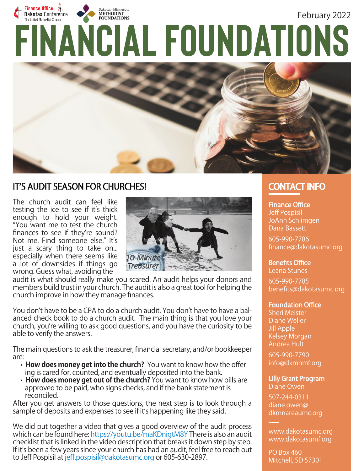



### **IT'S AUDIT SEASON FOR CHURCHES!**

The church audit can feel like testing the ice to see if it's thick enough to hold your weight. "You want me to test the church finances to see if they're sound? Not me. Find someone else." It's just a scary thing to take on... especially when there seems like a lot of downsides if things go wrong. Guess what, avoiding the



audit is what should really make you scared. An audit helps your donors and members build trust in your church. The audit is also a great tool for helping the church improve in how they manage finances.

You don't have to be a CPA to do a church audit. You don't have to have a balanced check book to do a church audit. The main thing is that you love your church, you're willing to ask good questions, and you have the curiosity to be able to verify the answers.

The main questions to ask the treasurer, financial secretary, and/or bookkeeper are:

- How does money get into the church? You want to know how the offer ing is cared for, counted, and eventually deposited into the bank.
- **How does money get out of the church?** You want to know how bills are approved to be paid, who signs checks, and if the bank statement is reconciled.

After you get answers to those questions, the next step is to look through a sample of deposits and expenses to see if it's happening like they said.

We did put together a video that gives a good overview of the audit process which can be found here: https://youtu.be/maKDnigtM8Y There is also an audit checklist that is linked in the video description that breaks it down step by step. If it's been a few years since your church has had an audit, feel free to reach out to Jeff Pospisil at jeff.pospisil@dakotasumc.org or 605-630-2897.

# **CONTACT INFO**

### **Finance Office**

Jeff Pospisil JoAnn Schlimgen Dana Bassett

605-990-7786 finance@dakotasumc.org

#### **Benefits Office**

Leana Stunes

605-990-7785 benefits@dakotasumc.org

#### **Foundation Office**

Sheri Meister Diane Weller Jill Apple Kelsey Morgan Andrea Hult

605-990-7790 info@dkmnmf.org

## **Lilly Grant Program**

Diane Owen 507-244-0311

diane.owen@ dkmnareaumc.org

www.dakotasumc.org www.dakotasumf.org

PO Box 460 Mitchell, SD 57301